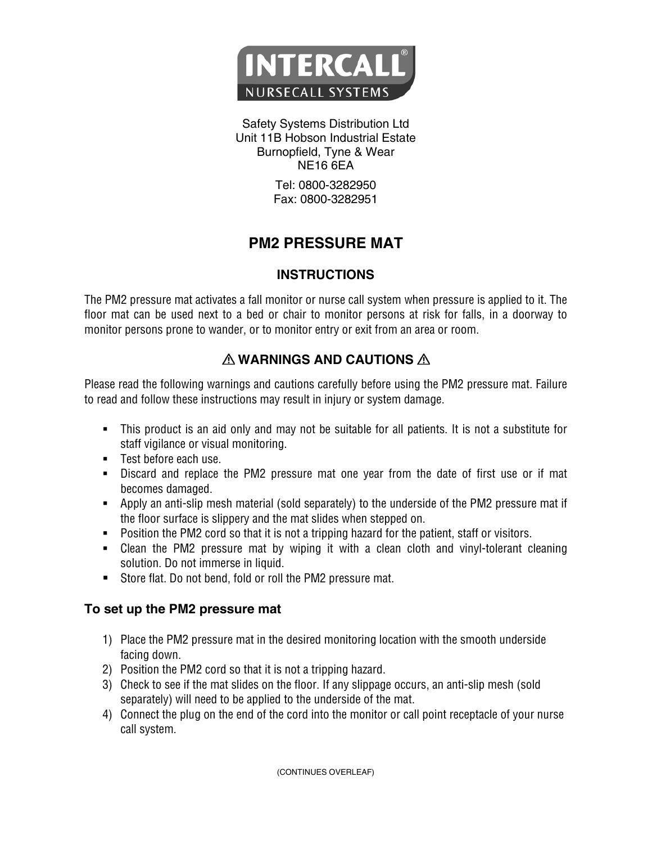

Safety Systems Distribution Ltd Unit 11B Hobson Industrial Estate Burnopfield, Tyne & Wear NE16 6EA

> Tel: 0800-3282950 Fax: 0800-3282951

# **PM2 PRESSURE MAT**

## **INSTRUCTIONS**

The PM2 pressure mat activates a fall monitor or nurse call system when pressure is applied to it. The floor mat can be used next to a bed or chair to monitor persons at risk for falls, in a doorway to monitor persons prone to wander, or to monitor entry or exit from an area or room.

## **WARNINGS AND CAUTIONS**

Please read the following warnings and cautions carefully before using the PM2 pressure mat. Failure to read and follow these instructions may result in injury or system damage.

- This product is an aid only and may not be suitable for all patients. It is not a substitute for staff vigilance or visual monitoring.
- **Test before each use.**
- Discard and replace the PM2 pressure mat one year from the date of first use or if mat becomes damaged.
- Apply an anti-slip mesh material (sold separately) to the underside of the PM2 pressure mat if the floor surface is slippery and the mat slides when stepped on.
- **Position the PM2 cord so that it is not a tripping hazard for the patient, staff or visitors.**
- Clean the PM2 pressure mat by wiping it with a clean cloth and vinyl-tolerant cleaning solution. Do not immerse in liquid.
- Store flat. Do not bend, fold or roll the PM2 pressure mat.

## **To set up the PM2 pressure mat**

- 1) Place the PM2 pressure mat in the desired monitoring location with the smooth underside facing down.
- 2) Position the PM2 cord so that it is not a tripping hazard.
- 3) Check to see if the mat slides on the floor. If any slippage occurs, an anti-slip mesh (sold separately) will need to be applied to the underside of the mat.
- 4) Connect the plug on the end of the cord into the monitor or call point receptacle of your nurse call system.